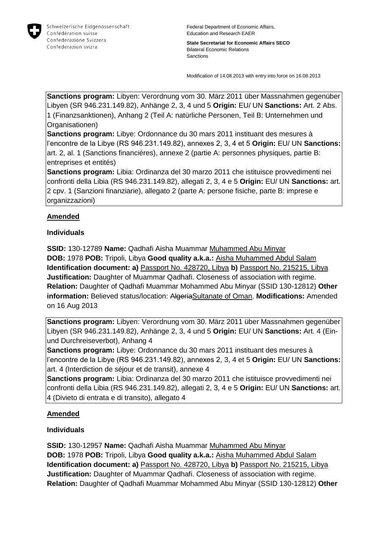

Federal Department of Economic Affairs, Education and Research EAER

**State Secretariat for Economic Affairs SECO** Bilateral Economic Relations Sanctions

Modification of 14.08.2013 with entry into force on 16.08.2013

**Sanctions program:** Libyen: Verordnung vom 30. März 2011 über Massnahmen gegenüber Libyen (SR 946.231.149.82), Anhänge 2, 3, 4 und 5 **Origin:** EU/ UN **Sanctions:** Art. 2 Abs. 1 (Finanzsanktionen), Anhang 2 (Teil A: natürliche Personen, Teil B: Unternehmen und Organisationen)

**Sanctions program:** Libye: Ordonnance du 30 mars 2011 instituant des mesures à l'encontre de la Libye (RS 946.231.149.82), annexes 2, 3, 4 et 5 **Origin:** EU/ UN **Sanctions:** art. 2, al. 1 (Sanctions financières), annexe 2 (partie A: personnes physiques, partie B: entreprises et entités)

**Sanctions program:** Libia: Ordinanza del 30 marzo 2011 che istituisce provvedimenti nei confronti della Libia (RS 946.231.149.82), allegati 2, 3, 4 e 5 **Origin:** EU/ UN **Sanctions:** art. 2 cpv. 1 (Sanzioni finanziarie), allegato 2 (parte A: persone fisiche, parte B: imprese e organizzazioni)

## **Amended**

## **Individuals**

**SSID:** 130-12789 **Name:** Qadhafi Aisha Muammar Muhammed Abu Minyar **DOB:** 1978 **POB:** Tripoli, Libya **Good quality a.k.a.:** Aisha Muhammed Abdul Salam **Identification document: a)** Passport No. 428720, Libya **b)** Passport No. 215215, Libya **Justification:** Daughter of Muammar Qadhafi. Closeness of association with regime. **Relation:** Daughter of Qadhafi Muammar Mohammed Abu Minyar (SSID 130-12812) **Other information:** Believed status/location: AlgeriaSultanate of Oman. **Modifications:** Amended on 16 Aug 2013

**Sanctions program:** Libyen: Verordnung vom 30. März 2011 über Massnahmen gegenüber Libyen (SR 946.231.149.82), Anhänge 2, 3, 4 und 5 **Origin:** EU/ UN **Sanctions:** Art. 4 (Einund Durchreiseverbot), Anhang 4

**Sanctions program:** Libye: Ordonnance du 30 mars 2011 instituant des mesures à l'encontre de la Libye (RS 946.231.149.82), annexes 2, 3, 4 et 5 **Origin:** EU/ UN **Sanctions:** art. 4 (Interdiction de séjour et de transit), annexe 4

**Sanctions program:** Libia: Ordinanza del 30 marzo 2011 che istituisce provvedimenti nei confronti della Libia (RS 946.231.149.82), allegati 2, 3, 4 e 5 **Origin:** EU/ UN **Sanctions:** art. 4 (Divieto di entrata e di transito), allegato 4

## **Amended**

## **Individuals**

**SSID:** 130-12957 **Name:** Qadhafi Aisha Muammar Muhammed Abu Minyar **DOB:** 1978 **POB:** Tripoli, Libya **Good quality a.k.a.:** Aisha Muhammed Abdul Salam **Identification document: a)** Passport No. 428720, Libya **b)** Passport No. 215215, Libya **Justification:** Daughter of Muammar Qadhafi. Closeness of association with regime. **Relation:** Daughter of Qadhafi Muammar Mohammed Abu Minyar (SSID 130-12812) **Other**